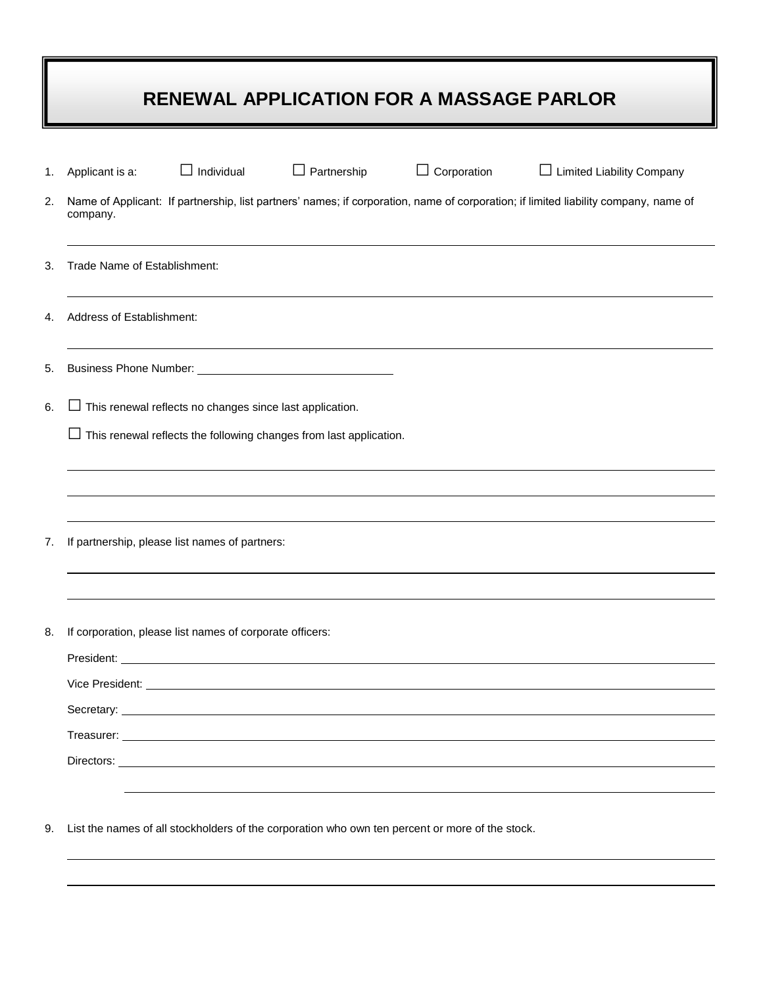## **RENEWAL APPLICATION FOR A MASSAGE PARLOR**

| 1. | Applicant is a:                                                                                                                                 | $\Box$ Individual | $\Box$ Partnership                                                 | $\Box$ Corporation | $\Box$ Limited Liability Company |  |
|----|-------------------------------------------------------------------------------------------------------------------------------------------------|-------------------|--------------------------------------------------------------------|--------------------|----------------------------------|--|
| 2. | Name of Applicant: If partnership, list partners' names; if corporation, name of corporation; if limited liability company, name of<br>company. |                   |                                                                    |                    |                                  |  |
| 3. | Trade Name of Establishment:                                                                                                                    |                   |                                                                    |                    |                                  |  |
| 4. | Address of Establishment:                                                                                                                       |                   |                                                                    |                    |                                  |  |
| 5. |                                                                                                                                                 |                   |                                                                    |                    |                                  |  |
| 6. | $\Box$ This renewal reflects no changes since last application.                                                                                 |                   |                                                                    |                    |                                  |  |
|    | $\Box$                                                                                                                                          |                   | This renewal reflects the following changes from last application. |                    |                                  |  |
|    |                                                                                                                                                 |                   |                                                                    |                    |                                  |  |
|    |                                                                                                                                                 |                   |                                                                    |                    |                                  |  |
| 7. | If partnership, please list names of partners:                                                                                                  |                   |                                                                    |                    |                                  |  |
|    |                                                                                                                                                 |                   |                                                                    |                    |                                  |  |
| 8. | If corporation, please list names of corporate officers:                                                                                        |                   |                                                                    |                    |                                  |  |
|    |                                                                                                                                                 |                   |                                                                    |                    |                                  |  |
|    | Secretary:                                                                                                                                      |                   |                                                                    |                    |                                  |  |
|    |                                                                                                                                                 |                   |                                                                    |                    |                                  |  |
|    | Directors:                                                                                                                                      |                   |                                                                    |                    |                                  |  |
|    |                                                                                                                                                 |                   |                                                                    |                    |                                  |  |
|    |                                                                                                                                                 |                   |                                                                    |                    |                                  |  |

9. List the names of all stockholders of the corporation who own ten percent or more of the stock.